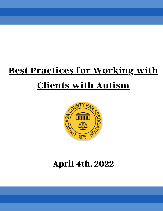# **Best Practices for Working with Clients with Autism**



# **April 4th, 2022**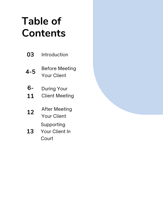# **Table of Contents**

| 03       | Introduction                                 |
|----------|----------------------------------------------|
| 4-5      | Before Meeting<br><b>Your Client</b>         |
| 6-<br>11 | During Your<br><b>Client Meeting</b>         |
| 12       | <b>After Meeting</b><br><b>Your Client</b>   |
| 13       | Supporting<br><b>Your Client In</b><br>Court |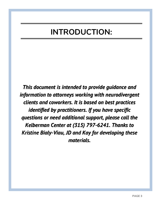# **INTRODUCTION:**

*This document is intended to provide guidance and information to attorneys working with neurodivergent clients and coworkers. It is based on best practices identified by practitioners. If you have specific questions or need additional support, please call the Kelberman Center at (315) 797-6241. Thanks to Kristine Bialy-Viau, JD and Kay for developing these materials.*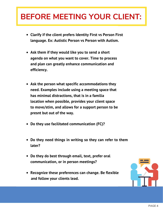## **BEFORE MEETING YOUR CLIENT:**

- **Clarify if the client prefers Identity First vs Person First language. Ex: Autistic Person vs Person with Autism.**
- **Ask them if they would like you to send a short agenda on what you want to cover. Time to process and plan can greatly enhance communication and efficiency.**
- **Ask the person what specific accommodations they need. Examples include using a meeting space that has minimal distractions, that is in a familia location when possible, provides your client space to move/stim, and allows for a support person to be presnt but out of the way.**
- **Do they use facilitated communication (FC)?**
- **Do they need things in writing so they can refer to them later?**
- **Do they do best through email, text, prefer oral communication, or in person meetings?**
- **Recognize these preferences can change. Be flexible and follow your clients lead.**

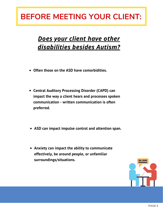### **BEFORE MEETING YOUR CLIENT:**

#### *Does your client have other disabilities besides Autism?*

- **Often those on the ASD have comorbidities.**
- **Central Auditory Processing Disorder (CAPD) can impact the way a client hears and processes spoken communication - written communication is often preferred.**
- **ASD can impact impulse control and attention span.**
- **Anxiety can impact the ability to communicate effectively, be around people, or unfamiliar surroundings/situations.**

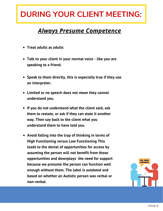#### *Always Presume Competence*

- **Treat adults as adults**
- **Talk to your client in your normal voice - like you are speaking to a friend.**
- **Speak to them directly, this is especially true if they use an interpreter.**
- **Limited or no speech does not mean they cannot understand you.**
- **If you do not understand what the client said, ask them to restate, or ask if they can state it another way. Then say back to the client what you understand them to have told you.**
- **Avoid falling into the trap of thinking in terms of High Functioning versus Low Functioning This leads to the denial of opportunities for access by assuming the person will not benefit from those opportunities and downplays the need for support because we presume the person can function well enough without them. The label is outdated and based on whether an Autistic person was verbal or non-verbal.**

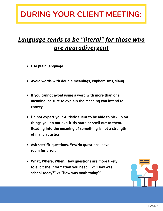#### *Language tends to be "literal" for those who are neurodivergent*

- **Use plain language**
- **Avoid words with double meanings, euphemisms, slang**
- **If you cannot avoid using a word with more than one meaning, be sure to explain the meaning you intend to convey.**
- **Do not expect your Autistic client to be able to pick up on things you do not explicitly state or spell out to them. Reading into the meaning of something is not a strength of many autistics.**
- **Ask specific questions. Yes/No questions leave room for error.**
- **What, Where, When, How questions are more likely to elicit the information you need. Ex: "How was school today?" vs "How was math today?"**

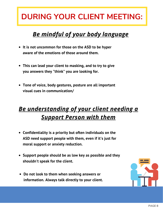#### *Be mindful of your body language*

- **It is not uncommon for those on the ASD to be hyper aware of the emotions of those around them.**
- **This can lead your client to masking, and to try to give you answers they "think" you are looking for.**
- **Tone of voice, body gestures, posture are all important visual cues in communication/**

#### *Be understanding of your client needing a Support Person with them*

- **Confidentiality is a priority but often individuals on the ASD need support people with them, even if it's just for moral support or anxiety reduction.**
- **Support people should be as low key as possible and they shouldn't speak for the client.**
- **Do not look to them when seeking answers or information. Always talk directly to your client.**

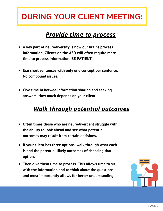#### *Provide time to process*

- **A key part of neurodiversity is how our brains process information. Clients on the ASD will often require more time to process information. BE PATIENT.**
- **Use short sentences with only one concept per sentence. No compound issues.**
- **Give time in betwee information sharing and seeking answers. How much depends on your client.**

#### *Walk through potential outcomes*

- **Often times those who are neurodivergent struggle with the ability to look ahead and see what potential outcomes may result from certain decisions.**
- **If your client has three options, walk through what each is and the potential likely outcomes of choosing that option.**
- **Then give them time to process. This allows time to sit with the information and to think about the questions, and most importantly allows for better understanding.**

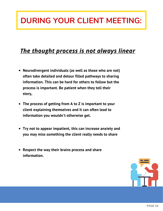#### *The thought process is not always linear*

- **Neurodivergent individuals (as well as those who are not) often take detailed and detour filled pathways to sharing information. This can be hard for others to follow but the process is important. Be patient when they tell their story,**
- **The process of getting from A to Z is important to your client explaining themselves and it can often lead to information you wouldn't otherwise get.**
- **Try not to appear impatient, this can increase anxiety and you may miss something the client really needs to share**
- **Respect the way their brains process and share information.**

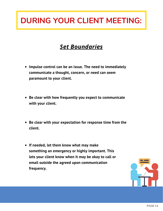#### *Set Boundaries*

- **Impulse control can be an issue. The need to immediately communicate a thought, concern, or need can seem paramount to your client.**
- **Be clear with how frequently you expect to communicate with your client.**
- **Be clear with your expectation for response time from the client.**
- **If needed, let them know what may make something an emergency or highly important. This lets your client know when it may be okay to call or email outside the agreed upon communication frequency.**

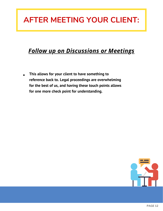### **AFTER MEETING YOUR CLIENT:**

#### *Follow up on Discussions or Meetings*

**This allows for your client to have something to reference back to. Legal proceedings are overwhelming for the best of us, and having these touch points allows for one more check point for understanding.**